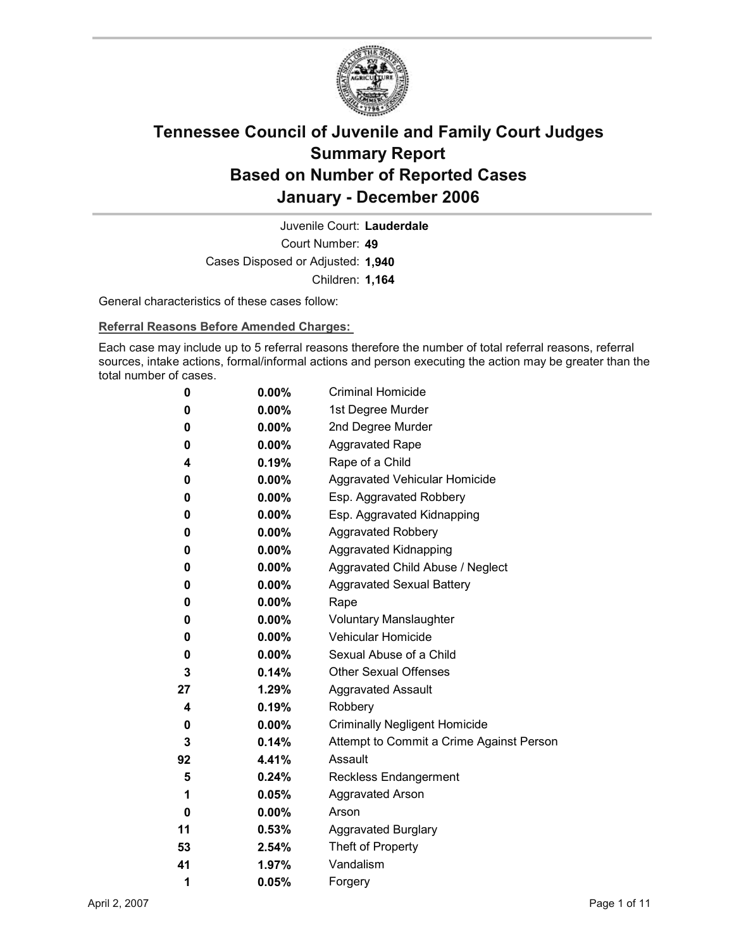

Court Number: **49** Juvenile Court: **Lauderdale** Cases Disposed or Adjusted: **1,940** Children: **1,164**

General characteristics of these cases follow:

**Referral Reasons Before Amended Charges:** 

Each case may include up to 5 referral reasons therefore the number of total referral reasons, referral sources, intake actions, formal/informal actions and person executing the action may be greater than the total number of cases.

| 0  | $0.00\%$ | <b>Criminal Homicide</b>                 |
|----|----------|------------------------------------------|
| 0  | $0.00\%$ | 1st Degree Murder                        |
| 0  | $0.00\%$ | 2nd Degree Murder                        |
| 0  | $0.00\%$ | <b>Aggravated Rape</b>                   |
| 4  | $0.19\%$ | Rape of a Child                          |
| 0  | $0.00\%$ | Aggravated Vehicular Homicide            |
| 0  | $0.00\%$ | Esp. Aggravated Robbery                  |
| 0  | $0.00\%$ | Esp. Aggravated Kidnapping               |
| 0  | $0.00\%$ | <b>Aggravated Robbery</b>                |
| 0  | $0.00\%$ | <b>Aggravated Kidnapping</b>             |
| 0  | $0.00\%$ | Aggravated Child Abuse / Neglect         |
| 0  | $0.00\%$ | <b>Aggravated Sexual Battery</b>         |
| 0  | $0.00\%$ | Rape                                     |
| 0  | $0.00\%$ | <b>Voluntary Manslaughter</b>            |
| 0  | $0.00\%$ | Vehicular Homicide                       |
| 0  | $0.00\%$ | Sexual Abuse of a Child                  |
| 3  | $0.14\%$ | <b>Other Sexual Offenses</b>             |
| 27 | $1.29\%$ | <b>Aggravated Assault</b>                |
| 4  | 0.19%    | Robbery                                  |
| 0  | $0.00\%$ | <b>Criminally Negligent Homicide</b>     |
| 3  | $0.14\%$ | Attempt to Commit a Crime Against Person |
| 92 | 4.41%    | Assault                                  |
| 5  | $0.24\%$ | <b>Reckless Endangerment</b>             |
| 1  | $0.05\%$ | <b>Aggravated Arson</b>                  |
| 0  | $0.00\%$ | Arson                                    |
| 11 | $0.53\%$ | <b>Aggravated Burglary</b>               |
| 53 | $2.54\%$ | Theft of Property                        |
| 41 | 1.97%    | Vandalism                                |
| 1  | 0.05%    | Forgery                                  |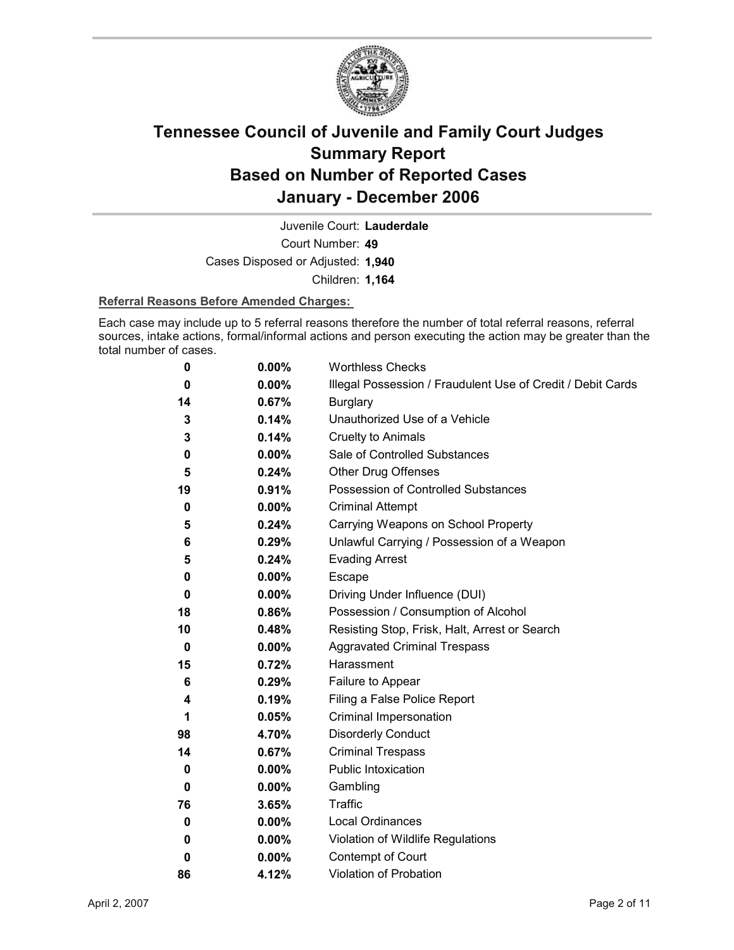

Court Number: **49** Juvenile Court: **Lauderdale** Cases Disposed or Adjusted: **1,940**

Children: **1,164**

### **Referral Reasons Before Amended Charges:**

Each case may include up to 5 referral reasons therefore the number of total referral reasons, referral sources, intake actions, formal/informal actions and person executing the action may be greater than the total number of cases.

| 0  | 0.00%    | <b>Worthless Checks</b>                                     |
|----|----------|-------------------------------------------------------------|
| 0  | 0.00%    | Illegal Possession / Fraudulent Use of Credit / Debit Cards |
| 14 | 0.67%    | <b>Burglary</b>                                             |
| 3  | 0.14%    | Unauthorized Use of a Vehicle                               |
| 3  | 0.14%    | <b>Cruelty to Animals</b>                                   |
| 0  | $0.00\%$ | Sale of Controlled Substances                               |
| 5  | 0.24%    | <b>Other Drug Offenses</b>                                  |
| 19 | 0.91%    | <b>Possession of Controlled Substances</b>                  |
| 0  | 0.00%    | <b>Criminal Attempt</b>                                     |
| 5  | 0.24%    | Carrying Weapons on School Property                         |
| 6  | 0.29%    | Unlawful Carrying / Possession of a Weapon                  |
| 5  | 0.24%    | <b>Evading Arrest</b>                                       |
| 0  | 0.00%    | Escape                                                      |
| 0  | $0.00\%$ | Driving Under Influence (DUI)                               |
| 18 | 0.86%    | Possession / Consumption of Alcohol                         |
| 10 | 0.48%    | Resisting Stop, Frisk, Halt, Arrest or Search               |
| 0  | $0.00\%$ | <b>Aggravated Criminal Trespass</b>                         |
| 15 | 0.72%    | Harassment                                                  |
| 6  | 0.29%    | Failure to Appear                                           |
| 4  | 0.19%    | Filing a False Police Report                                |
| 1  | 0.05%    | Criminal Impersonation                                      |
| 98 | 4.70%    | <b>Disorderly Conduct</b>                                   |
| 14 | 0.67%    | <b>Criminal Trespass</b>                                    |
| 0  | 0.00%    | <b>Public Intoxication</b>                                  |
| 0  | $0.00\%$ | Gambling                                                    |
| 76 | 3.65%    | <b>Traffic</b>                                              |
| 0  | 0.00%    | Local Ordinances                                            |
| 0  | $0.00\%$ | Violation of Wildlife Regulations                           |
| 0  | $0.00\%$ | Contempt of Court                                           |
| 86 | 4.12%    | <b>Violation of Probation</b>                               |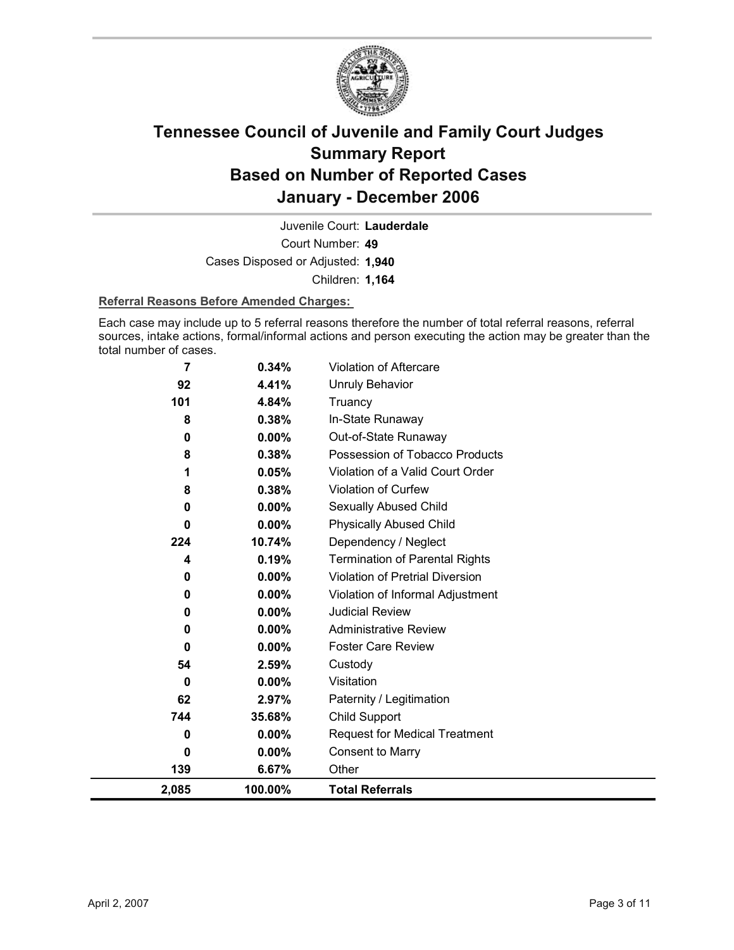

Court Number: **49** Juvenile Court: **Lauderdale** Cases Disposed or Adjusted: **1,940** Children: **1,164**

### **Referral Reasons Before Amended Charges:**

Each case may include up to 5 referral reasons therefore the number of total referral reasons, referral sources, intake actions, formal/informal actions and person executing the action may be greater than the total number of cases.

| $\overline{7}$ | 0.34%    | Violation of Aftercare                |
|----------------|----------|---------------------------------------|
| 92             | 4.41%    | <b>Unruly Behavior</b>                |
| 101            | 4.84%    | Truancy                               |
| 8              | 0.38%    | In-State Runaway                      |
| 0              | 0.00%    | Out-of-State Runaway                  |
| 8              | 0.38%    | Possession of Tobacco Products        |
| 1              | 0.05%    | Violation of a Valid Court Order      |
| 8              | 0.38%    | Violation of Curfew                   |
| 0              | 0.00%    | Sexually Abused Child                 |
| 0              | 0.00%    | <b>Physically Abused Child</b>        |
| 224            | 10.74%   | Dependency / Neglect                  |
| 4              | 0.19%    | <b>Termination of Parental Rights</b> |
| 0              | 0.00%    | Violation of Pretrial Diversion       |
| 0              | 0.00%    | Violation of Informal Adjustment      |
| 0              | 0.00%    | <b>Judicial Review</b>                |
| 0              | 0.00%    | <b>Administrative Review</b>          |
| 0              | $0.00\%$ | <b>Foster Care Review</b>             |
| 54             | 2.59%    | Custody                               |
| 0              | 0.00%    | Visitation                            |
| 62             | 2.97%    | Paternity / Legitimation              |
| 744            | 35.68%   | <b>Child Support</b>                  |
| 0              | $0.00\%$ | <b>Request for Medical Treatment</b>  |
| 0              | 0.00%    | <b>Consent to Marry</b>               |
| 139            | 6.67%    | Other                                 |
| 2,085          | 100.00%  | <b>Total Referrals</b>                |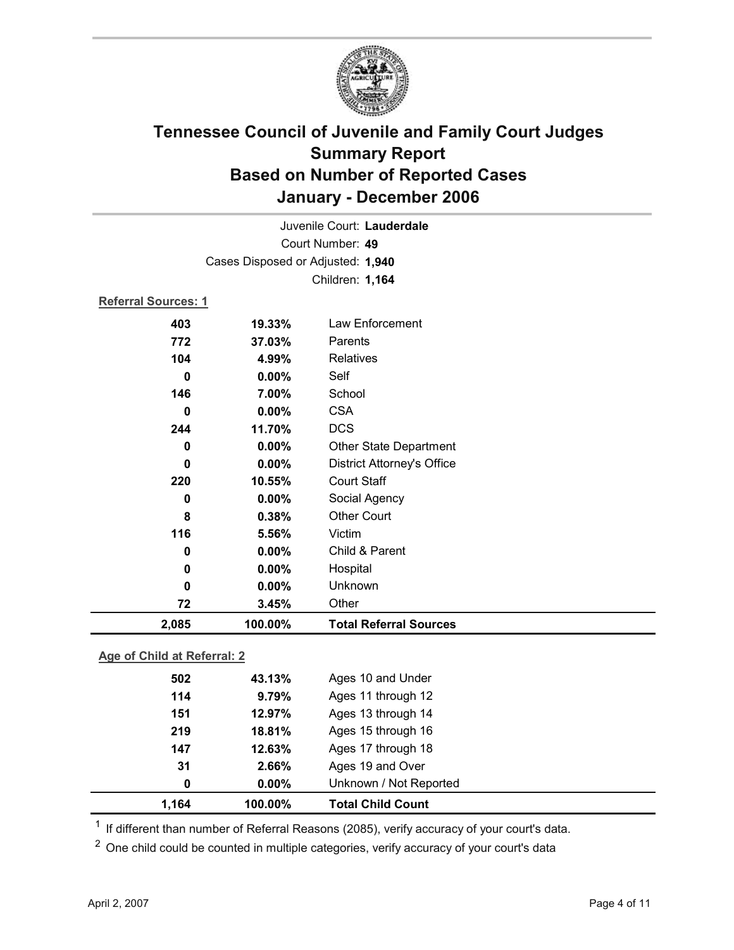

|                             |                                   | Juvenile Court: Lauderdale        |  |  |  |
|-----------------------------|-----------------------------------|-----------------------------------|--|--|--|
| Court Number: 49            |                                   |                                   |  |  |  |
|                             | Cases Disposed or Adjusted: 1,940 |                                   |  |  |  |
|                             |                                   | Children: 1,164                   |  |  |  |
| <b>Referral Sources: 1</b>  |                                   |                                   |  |  |  |
| 403                         | 19.33%                            | Law Enforcement                   |  |  |  |
| 772                         | 37.03%                            | Parents                           |  |  |  |
| 104                         | 4.99%                             | <b>Relatives</b>                  |  |  |  |
| $\mathbf 0$                 | 0.00%                             | Self                              |  |  |  |
| 146                         | 7.00%                             | School                            |  |  |  |
| $\bf{0}$                    | 0.00%                             | <b>CSA</b>                        |  |  |  |
| 244                         | 11.70%                            | <b>DCS</b>                        |  |  |  |
| $\bf{0}$                    | 0.00%                             | Other State Department            |  |  |  |
| $\bf{0}$                    | 0.00%                             | <b>District Attorney's Office</b> |  |  |  |
| 220                         | 10.55%                            | <b>Court Staff</b>                |  |  |  |
| 0                           | 0.00%                             | Social Agency                     |  |  |  |
| 8                           | 0.38%                             | <b>Other Court</b>                |  |  |  |
| 116                         | 5.56%                             | Victim                            |  |  |  |
| 0                           | 0.00%                             | Child & Parent                    |  |  |  |
| $\bf{0}$                    | 0.00%                             | Hospital                          |  |  |  |
| 0                           | 0.00%                             | Unknown                           |  |  |  |
| 72                          | 3.45%                             | Other                             |  |  |  |
| 2,085                       | 100.00%                           | <b>Total Referral Sources</b>     |  |  |  |
| Age of Child at Referral: 2 |                                   |                                   |  |  |  |
| 502                         | Ages 10 and Under<br>43.13%       |                                   |  |  |  |
| 11 A                        | $Q = 7Q$                          | $\Delta$ ges 11 through 12        |  |  |  |

| 1.164 | 100.00%  | <b>Total Child Count</b>    |
|-------|----------|-----------------------------|
| 0     | $0.00\%$ | Unknown / Not Reported      |
| 31    | 2.66%    | Ages 19 and Over            |
| 147   | 12.63%   | Ages 17 through 18          |
| 219   | 18.81%   | Ages 15 through 16          |
| 151   | 12.97%   | Ages 13 through 14          |
| 114   | 9.79%    | Ages 11 through 12          |
| ---   | TV.IV/U  | $1.900$ TV and Only $1.001$ |

 $1$  If different than number of Referral Reasons (2085), verify accuracy of your court's data.

<sup>2</sup> One child could be counted in multiple categories, verify accuracy of your court's data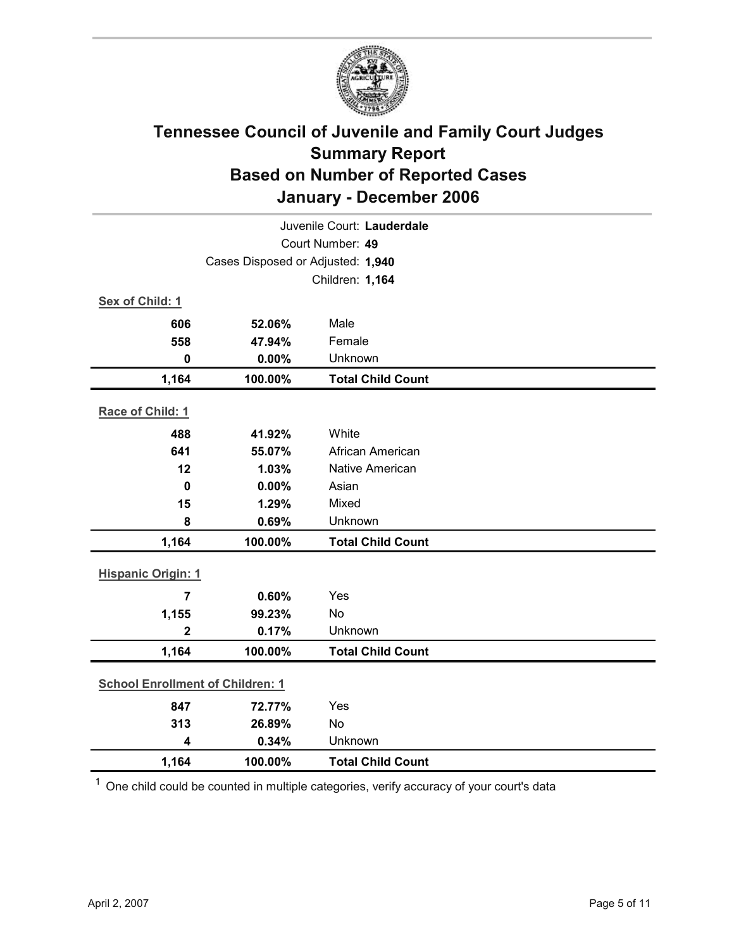

| Juvenile Court: Lauderdale              |                                   |                          |  |  |  |
|-----------------------------------------|-----------------------------------|--------------------------|--|--|--|
| Court Number: 49                        |                                   |                          |  |  |  |
|                                         | Cases Disposed or Adjusted: 1,940 |                          |  |  |  |
|                                         | Children: 1,164                   |                          |  |  |  |
| Sex of Child: 1                         |                                   |                          |  |  |  |
| 606                                     | 52.06%                            | Male                     |  |  |  |
| 558                                     | 47.94%                            | Female                   |  |  |  |
| $\bf{0}$                                | 0.00%                             | Unknown                  |  |  |  |
| 1,164                                   | 100.00%                           | <b>Total Child Count</b> |  |  |  |
| Race of Child: 1                        |                                   |                          |  |  |  |
| 488                                     | 41.92%                            | White                    |  |  |  |
| 641                                     | 55.07%                            | African American         |  |  |  |
| 12                                      | 1.03%                             | <b>Native American</b>   |  |  |  |
| 0                                       | 0.00%                             | Asian                    |  |  |  |
| 15                                      | 1.29%                             | Mixed                    |  |  |  |
| 8                                       | 0.69%                             | Unknown                  |  |  |  |
| 1,164                                   | 100.00%                           | <b>Total Child Count</b> |  |  |  |
| <b>Hispanic Origin: 1</b>               |                                   |                          |  |  |  |
| $\overline{7}$                          | 0.60%                             | Yes                      |  |  |  |
| 1,155                                   | 99.23%                            | No                       |  |  |  |
| $\mathbf 2$                             | 0.17%                             | Unknown                  |  |  |  |
| 1,164                                   | 100.00%                           | <b>Total Child Count</b> |  |  |  |
| <b>School Enrollment of Children: 1</b> |                                   |                          |  |  |  |
| 847                                     | 72.77%                            | Yes                      |  |  |  |
| 313                                     | 26.89%                            | No                       |  |  |  |
| $\overline{\mathbf{4}}$                 | 0.34%                             | Unknown                  |  |  |  |
| 1,164                                   | 100.00%                           | <b>Total Child Count</b> |  |  |  |

 $1$  One child could be counted in multiple categories, verify accuracy of your court's data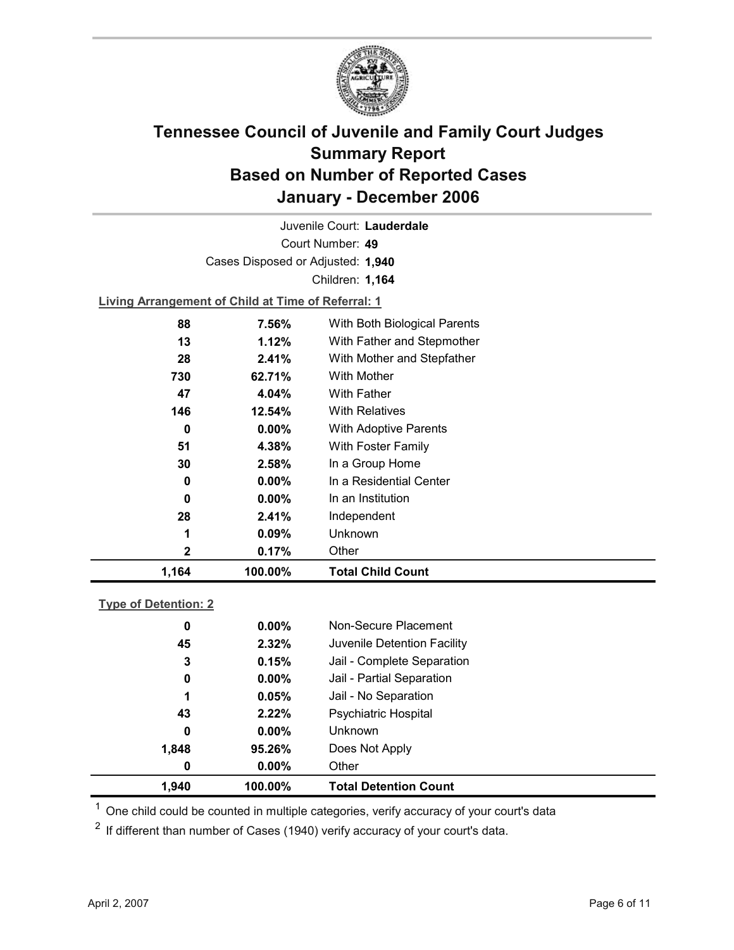

Court Number: **49** Juvenile Court: **Lauderdale** Cases Disposed or Adjusted: **1,940** Children: **1,164**

**Living Arrangement of Child at Time of Referral: 1**

| 1,164 | 100.00%  | <b>Total Child Count</b>     |  |
|-------|----------|------------------------------|--|
| 2     | 0.17%    | Other                        |  |
| 1     | 0.09%    | Unknown                      |  |
| 28    | 2.41%    | Independent                  |  |
| 0     | $0.00\%$ | In an Institution            |  |
| 0     | $0.00\%$ | In a Residential Center      |  |
| 30    | 2.58%    | In a Group Home              |  |
| 51    | 4.38%    | With Foster Family           |  |
| 0     | $0.00\%$ | <b>With Adoptive Parents</b> |  |
| 146   | 12.54%   | <b>With Relatives</b>        |  |
| 47    | 4.04%    | With Father                  |  |
| 730   | 62.71%   | With Mother                  |  |
| 28    | 2.41%    | With Mother and Stepfather   |  |
| 13    | 1.12%    | With Father and Stepmother   |  |
| 88    | 7.56%    | With Both Biological Parents |  |
|       |          |                              |  |

### **Type of Detention: 2**

| 1,940 | 100.00%  | <b>Total Detention Count</b> |  |
|-------|----------|------------------------------|--|
| 0     | $0.00\%$ | Other                        |  |
| 1,848 | 95.26%   | Does Not Apply               |  |
| 0     | $0.00\%$ | <b>Unknown</b>               |  |
| 43    | 2.22%    | <b>Psychiatric Hospital</b>  |  |
| 1     | 0.05%    | Jail - No Separation         |  |
| 0     | $0.00\%$ | Jail - Partial Separation    |  |
| 3     | 0.15%    | Jail - Complete Separation   |  |
| 45    | 2.32%    | Juvenile Detention Facility  |  |
| 0     | $0.00\%$ | Non-Secure Placement         |  |
|       |          |                              |  |

 $<sup>1</sup>$  One child could be counted in multiple categories, verify accuracy of your court's data</sup>

 $2$  If different than number of Cases (1940) verify accuracy of your court's data.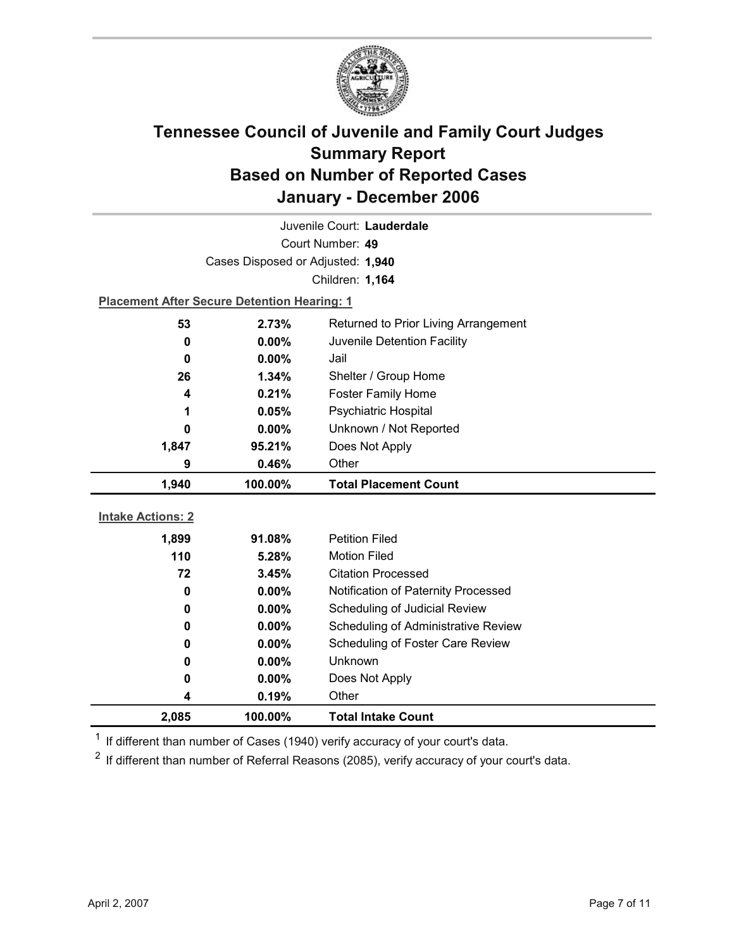

| Juvenile Court: Lauderdale |                                                    |                                      |  |  |
|----------------------------|----------------------------------------------------|--------------------------------------|--|--|
| Court Number: 49           |                                                    |                                      |  |  |
|                            | Cases Disposed or Adjusted: 1,940                  |                                      |  |  |
|                            |                                                    | Children: 1,164                      |  |  |
|                            | <b>Placement After Secure Detention Hearing: 1</b> |                                      |  |  |
| 53                         | 2.73%                                              | Returned to Prior Living Arrangement |  |  |
| 0                          | $0.00\%$                                           | Juvenile Detention Facility          |  |  |
| 0                          | 0.00%                                              | Jail                                 |  |  |
| 26                         | 1.34%                                              | Shelter / Group Home                 |  |  |
| 4                          | 0.21%                                              | <b>Foster Family Home</b>            |  |  |
| 1                          | 0.05%                                              | <b>Psychiatric Hospital</b>          |  |  |
| 0                          | 0.00%                                              | Unknown / Not Reported               |  |  |
| 1,847                      | 95.21%                                             | Does Not Apply                       |  |  |
| 9                          | 0.46%                                              | Other                                |  |  |
|                            |                                                    |                                      |  |  |
| 1,940                      | 100.00%                                            | <b>Total Placement Count</b>         |  |  |
|                            |                                                    |                                      |  |  |
| <b>Intake Actions: 2</b>   |                                                    |                                      |  |  |
| 1,899                      | 91.08%                                             | <b>Petition Filed</b>                |  |  |
| 110                        | 5.28%                                              | <b>Motion Filed</b>                  |  |  |
| 72                         | 3.45%                                              | <b>Citation Processed</b>            |  |  |
| 0                          | 0.00%                                              | Notification of Paternity Processed  |  |  |
| 0                          | 0.00%                                              | Scheduling of Judicial Review        |  |  |
| 0                          | 0.00%                                              | Scheduling of Administrative Review  |  |  |
| 0                          | $0.00\%$                                           | Scheduling of Foster Care Review     |  |  |
| 0                          | 0.00%                                              | <b>Unknown</b>                       |  |  |
| 0                          | 0.00%                                              | Does Not Apply                       |  |  |
| 4<br>2,085                 | 0.19%<br>100.00%                                   | Other<br><b>Total Intake Count</b>   |  |  |

 $1$  If different than number of Cases (1940) verify accuracy of your court's data.

 $2$  If different than number of Referral Reasons (2085), verify accuracy of your court's data.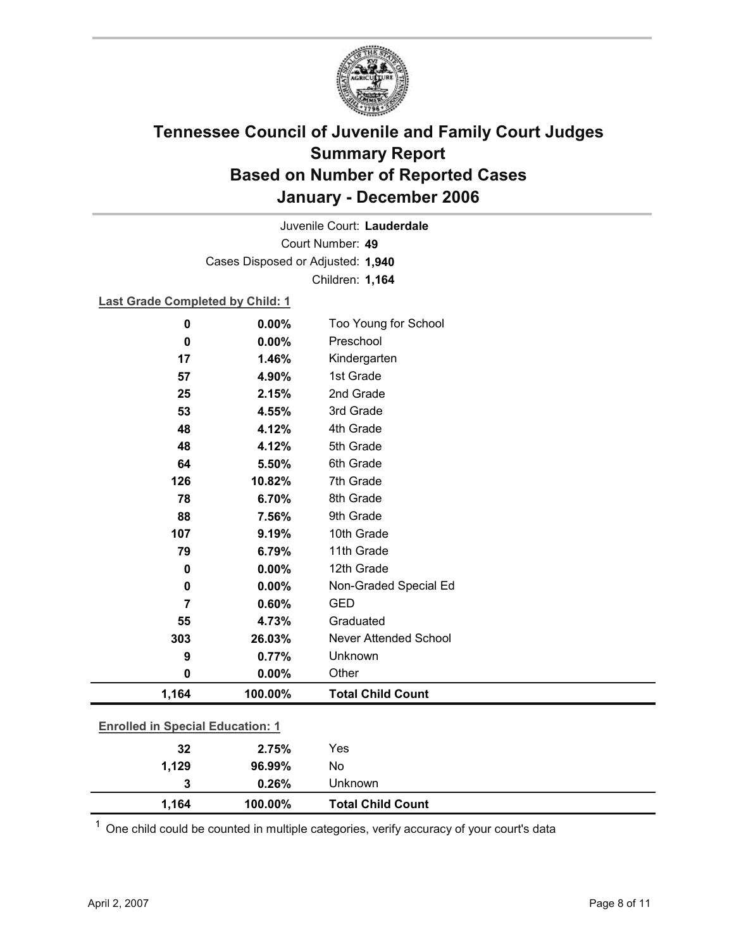

Court Number: **49** Juvenile Court: **Lauderdale** Cases Disposed or Adjusted: **1,940** Children: **1,164**

**Last Grade Completed by Child: 1**

| $\mathbf 0$                             | 0.00%   | Too Young for School     |  |
|-----------------------------------------|---------|--------------------------|--|
| 0                                       | 0.00%   | Preschool                |  |
| 17                                      | 1.46%   | Kindergarten             |  |
| 57                                      | 4.90%   | 1st Grade                |  |
| 25                                      | 2.15%   | 2nd Grade                |  |
| 53                                      | 4.55%   | 3rd Grade                |  |
| 48                                      | 4.12%   | 4th Grade                |  |
| 48                                      | 4.12%   | 5th Grade                |  |
| 64                                      | 5.50%   | 6th Grade                |  |
| 126                                     | 10.82%  | 7th Grade                |  |
| 78                                      | 6.70%   | 8th Grade                |  |
| 88                                      | 7.56%   | 9th Grade                |  |
| 107                                     | 9.19%   | 10th Grade               |  |
| 79                                      | 6.79%   | 11th Grade               |  |
| $\mathbf 0$                             | 0.00%   | 12th Grade               |  |
| 0                                       | 0.00%   | Non-Graded Special Ed    |  |
| $\overline{7}$                          | 0.60%   | <b>GED</b>               |  |
| 55                                      | 4.73%   | Graduated                |  |
| 303                                     | 26.03%  | Never Attended School    |  |
| 9                                       | 0.77%   | Unknown                  |  |
| 0                                       | 0.00%   | Other                    |  |
| 1,164                                   | 100.00% | <b>Total Child Count</b> |  |
| <b>Enrolled in Special Education: 1</b> |         |                          |  |
| 32                                      | 2.75%   | Yes                      |  |
| 1,129                                   | 96.99%  | No                       |  |
| 3                                       | 0.26%   | Unknown                  |  |

 $1$  One child could be counted in multiple categories, verify accuracy of your court's data

**1,164 100.00% Total Child Count**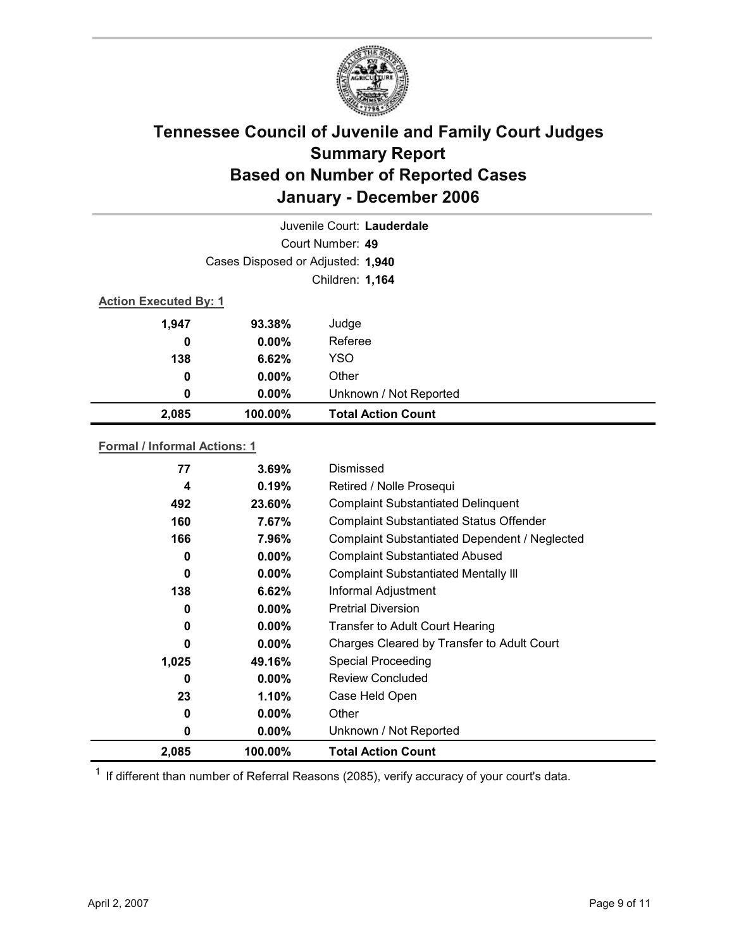

| Juvenile Court: Lauderdale |                                   |                           |  |  |
|----------------------------|-----------------------------------|---------------------------|--|--|
|                            | Court Number: 49                  |                           |  |  |
|                            | Cases Disposed or Adjusted: 1,940 |                           |  |  |
|                            | Children: 1,164                   |                           |  |  |
|                            | <b>Action Executed By: 1</b>      |                           |  |  |
| 1,947                      | 93.38%                            | Judge                     |  |  |
| 0                          | $0.00\%$                          | Referee                   |  |  |
| 138                        | 6.62%                             | <b>YSO</b>                |  |  |
| 0                          | $0.00\%$                          | Other                     |  |  |
| 0                          | $0.00\%$                          | Unknown / Not Reported    |  |  |
| 2,085                      | 100.00%                           | <b>Total Action Count</b> |  |  |

### **Formal / Informal Actions: 1**

| 77    | $3.69\%$ | Dismissed                                      |
|-------|----------|------------------------------------------------|
| 4     | 0.19%    | Retired / Nolle Prosequi                       |
| 492   | 23.60%   | <b>Complaint Substantiated Delinquent</b>      |
| 160   | 7.67%    | <b>Complaint Substantiated Status Offender</b> |
| 166   | 7.96%    | Complaint Substantiated Dependent / Neglected  |
| 0     | $0.00\%$ | <b>Complaint Substantiated Abused</b>          |
| 0     | $0.00\%$ | <b>Complaint Substantiated Mentally III</b>    |
| 138   | 6.62%    | Informal Adjustment                            |
| 0     | $0.00\%$ | <b>Pretrial Diversion</b>                      |
| 0     | $0.00\%$ | Transfer to Adult Court Hearing                |
| 0     | $0.00\%$ | Charges Cleared by Transfer to Adult Court     |
| 1,025 | 49.16%   | <b>Special Proceeding</b>                      |
| 0     | $0.00\%$ | <b>Review Concluded</b>                        |
| 23    | 1.10%    | Case Held Open                                 |
| 0     | $0.00\%$ | Other                                          |
| 0     | $0.00\%$ | Unknown / Not Reported                         |
| 2,085 | 100.00%  | <b>Total Action Count</b>                      |

 $1$  If different than number of Referral Reasons (2085), verify accuracy of your court's data.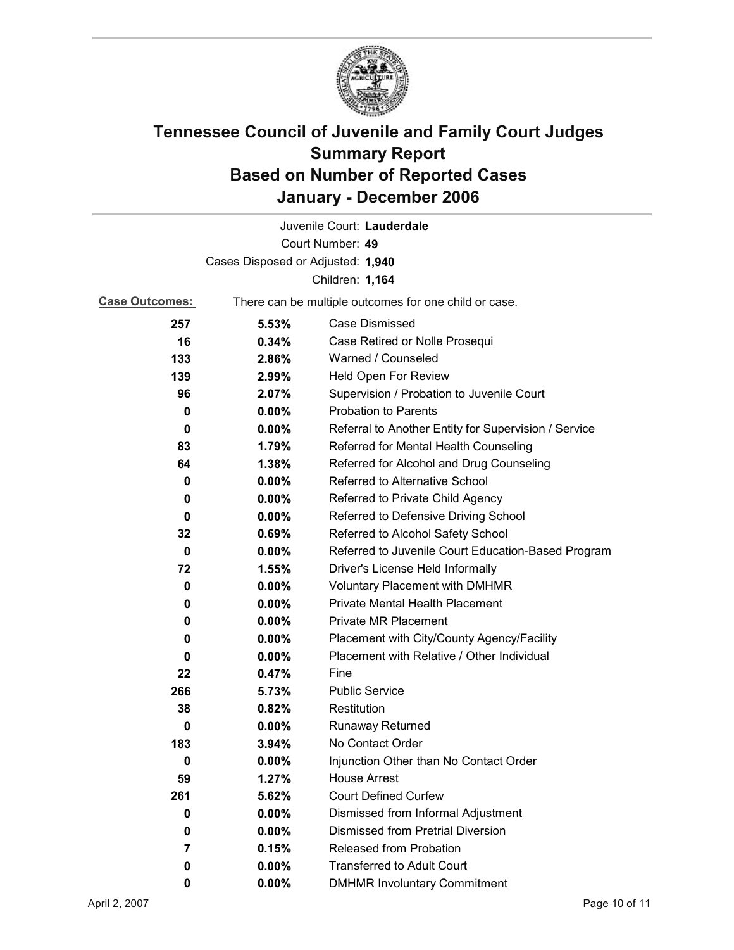

|                                   |                                                       | Juvenile Court: Lauderdale                           |
|-----------------------------------|-------------------------------------------------------|------------------------------------------------------|
|                                   |                                                       | Court Number: 49                                     |
| Cases Disposed or Adjusted: 1,940 |                                                       |                                                      |
|                                   |                                                       | Children: 1,164                                      |
| <b>Case Outcomes:</b>             | There can be multiple outcomes for one child or case. |                                                      |
| 257                               | 5.53%                                                 | <b>Case Dismissed</b>                                |
| 16                                | 0.34%                                                 | Case Retired or Nolle Prosequi                       |
| 133                               | 2.86%                                                 | Warned / Counseled                                   |
| 139                               | 2.99%                                                 | Held Open For Review                                 |
| 96                                | 2.07%                                                 | Supervision / Probation to Juvenile Court            |
| 0                                 | $0.00\%$                                              | <b>Probation to Parents</b>                          |
| 0                                 | $0.00\%$                                              | Referral to Another Entity for Supervision / Service |
| 83                                | 1.79%                                                 | Referred for Mental Health Counseling                |
| 64                                | 1.38%                                                 | Referred for Alcohol and Drug Counseling             |
| 0                                 | 0.00%                                                 | Referred to Alternative School                       |
| 0                                 | $0.00\%$                                              | Referred to Private Child Agency                     |
| 0                                 | $0.00\%$                                              | Referred to Defensive Driving School                 |
| 32                                | 0.69%                                                 | Referred to Alcohol Safety School                    |
| 0                                 | 0.00%                                                 | Referred to Juvenile Court Education-Based Program   |
| 72                                | 1.55%                                                 | Driver's License Held Informally                     |
| 0                                 | 0.00%                                                 | <b>Voluntary Placement with DMHMR</b>                |
| 0                                 | $0.00\%$                                              | <b>Private Mental Health Placement</b>               |
| 0                                 | $0.00\%$                                              | <b>Private MR Placement</b>                          |
| 0                                 | 0.00%                                                 | Placement with City/County Agency/Facility           |
| 0                                 | $0.00\%$                                              | Placement with Relative / Other Individual           |
| 22                                | 0.47%                                                 | Fine                                                 |
| 266                               | 5.73%                                                 | <b>Public Service</b>                                |
| 38                                | 0.82%                                                 | Restitution                                          |
| 0                                 | $0.00\%$                                              | Runaway Returned                                     |
| 183                               | 3.94%                                                 | No Contact Order                                     |
| 0                                 | 0.00%                                                 | Injunction Other than No Contact Order               |
| 59                                | 1.27%                                                 | <b>House Arrest</b>                                  |
| 261                               | 5.62%                                                 | <b>Court Defined Curfew</b>                          |
| 0                                 | $0.00\%$                                              | Dismissed from Informal Adjustment                   |
| 0                                 | 0.00%                                                 | Dismissed from Pretrial Diversion                    |
| 7                                 | 0.15%                                                 | Released from Probation                              |
| 0                                 | 0.00%                                                 | <b>Transferred to Adult Court</b>                    |
| 0                                 | $0.00\%$                                              | <b>DMHMR Involuntary Commitment</b>                  |